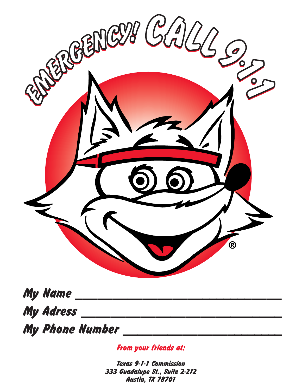

My Name **My Adress** 

**My Phone Number** 

From your friends at:

Texas 9-1-1 Commission 333 Guadalupe St., Suite 2-212 Austin, TX 78701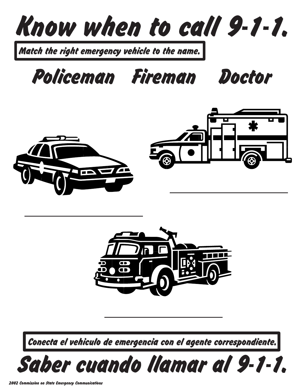

Match the right emergency vehicle to the name.

Policeman Fireman Doctor





Conecta el vehiculo de emergencia con el agente correspondiente.

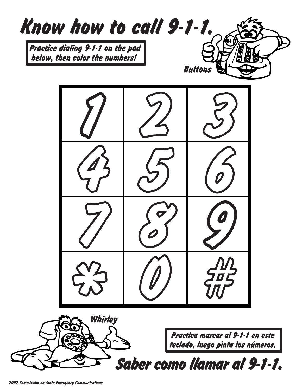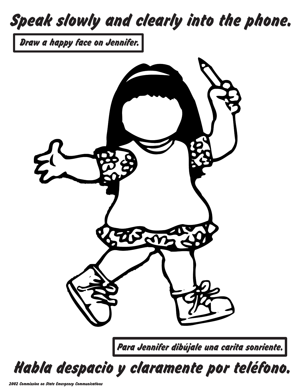## Speak slowly and clearly into the phone.

Draw a happy face on Jennifer.



Habla despacio y claramente por teléfono.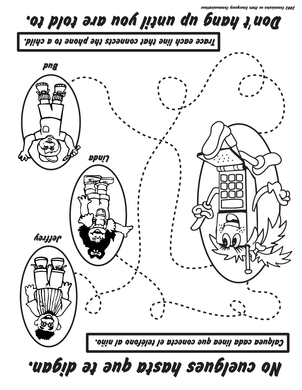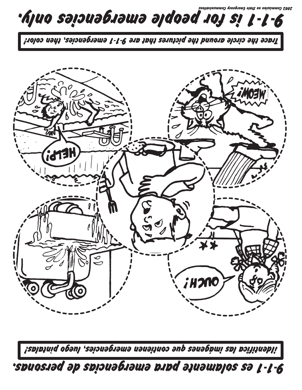ZnoitboinummoJ vonsprom3 stb12 no noiszimmoJ SOOS



Trace the circle around the pictures that are 9-1-1 emergencies, then color!



| izplbtniq opsul , asionaprams nansitros emergencies, luego pintalas!

spuosiad ap spiauabiawa pipd ajuawpjos sa j-j-6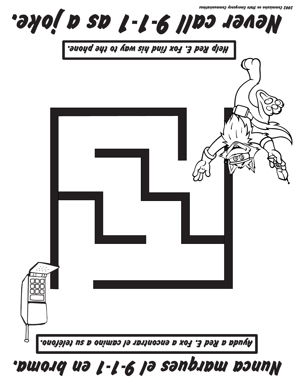

## Nunca marques el 9-1-1 en broma.